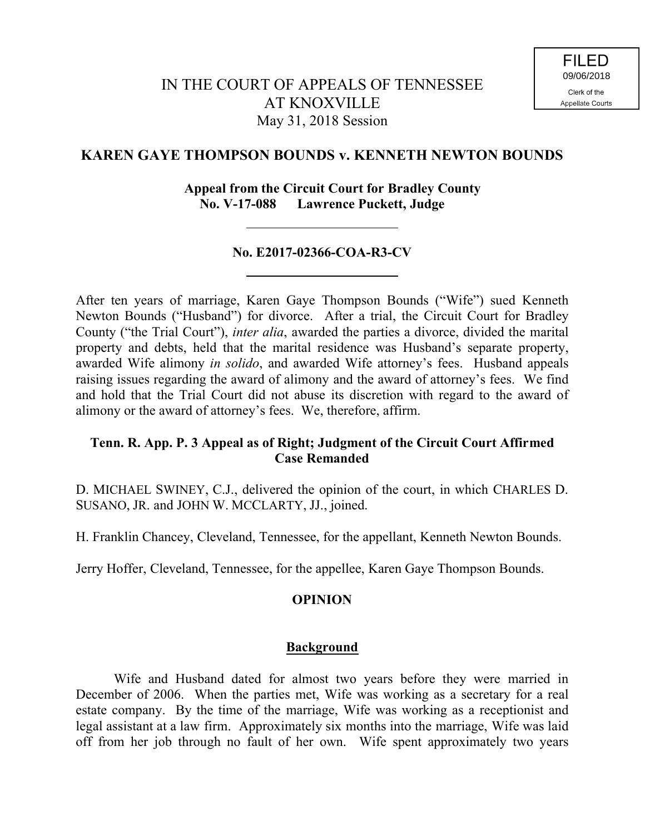# **KAREN GAYE THOMPSON BOUNDS v. KENNETH NEWTON BOUNDS**

### **Appeal from the Circuit Court for Bradley County No. V-17-088 Lawrence Puckett, Judge**

### **No. E2017-02366-COA-R3-CV**

After ten years of marriage, Karen Gaye Thompson Bounds ("Wife") sued Kenneth Newton Bounds ("Husband") for divorce. After a trial, the Circuit Court for Bradley County ("the Trial Court"), *inter alia*, awarded the parties a divorce, divided the marital property and debts, held that the marital residence was Husband's separate property, awarded Wife alimony *in solido*, and awarded Wife attorney's fees. Husband appeals raising issues regarding the award of alimony and the award of attorney's fees. We find and hold that the Trial Court did not abuse its discretion with regard to the award of alimony or the award of attorney's fees. We, therefore, affirm.

# **Tenn. R. App. P. 3 Appeal as of Right; Judgment of the Circuit Court Affirmed Case Remanded**

D. MICHAEL SWINEY, C.J., delivered the opinion of the court, in which CHARLES D. SUSANO, JR. and JOHN W. MCCLARTY, JJ., joined.

H. Franklin Chancey, Cleveland, Tennessee, for the appellant, Kenneth Newton Bounds.

Jerry Hoffer, Cleveland, Tennessee, for the appellee, Karen Gaye Thompson Bounds.

# **OPINION**

#### **Background**

Wife and Husband dated for almost two years before they were married in December of 2006. When the parties met, Wife was working as a secretary for a real estate company. By the time of the marriage, Wife was working as a receptionist and legal assistant at a law firm. Approximately six months into the marriage, Wife was laid off from her job through no fault of her own. Wife spent approximately two years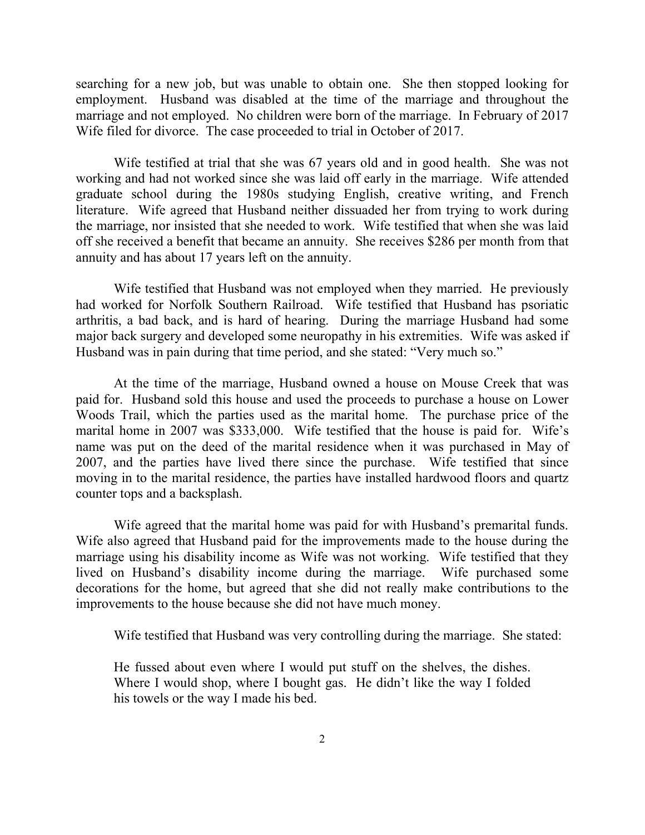searching for a new job, but was unable to obtain one. She then stopped looking for employment. Husband was disabled at the time of the marriage and throughout the marriage and not employed. No children were born of the marriage. In February of 2017 Wife filed for divorce. The case proceeded to trial in October of 2017.

Wife testified at trial that she was 67 years old and in good health. She was not working and had not worked since she was laid off early in the marriage. Wife attended graduate school during the 1980s studying English, creative writing, and French literature. Wife agreed that Husband neither dissuaded her from trying to work during the marriage, nor insisted that she needed to work. Wife testified that when she was laid off she received a benefit that became an annuity. She receives \$286 per month from that annuity and has about 17 years left on the annuity.

Wife testified that Husband was not employed when they married. He previously had worked for Norfolk Southern Railroad. Wife testified that Husband has psoriatic arthritis, a bad back, and is hard of hearing. During the marriage Husband had some major back surgery and developed some neuropathy in his extremities. Wife was asked if Husband was in pain during that time period, and she stated: "Very much so."

At the time of the marriage, Husband owned a house on Mouse Creek that was paid for. Husband sold this house and used the proceeds to purchase a house on Lower Woods Trail, which the parties used as the marital home. The purchase price of the marital home in 2007 was \$333,000. Wife testified that the house is paid for. Wife's name was put on the deed of the marital residence when it was purchased in May of 2007, and the parties have lived there since the purchase. Wife testified that since moving in to the marital residence, the parties have installed hardwood floors and quartz counter tops and a backsplash.

Wife agreed that the marital home was paid for with Husband's premarital funds. Wife also agreed that Husband paid for the improvements made to the house during the marriage using his disability income as Wife was not working. Wife testified that they lived on Husband's disability income during the marriage. Wife purchased some decorations for the home, but agreed that she did not really make contributions to the improvements to the house because she did not have much money.

Wife testified that Husband was very controlling during the marriage. She stated:

He fussed about even where I would put stuff on the shelves, the dishes. Where I would shop, where I bought gas. He didn't like the way I folded his towels or the way I made his bed.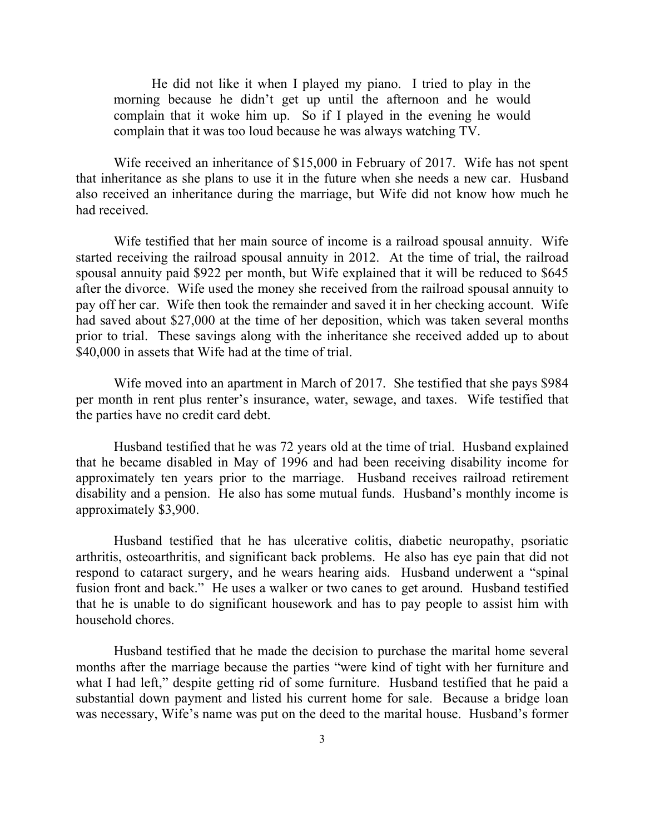He did not like it when I played my piano. I tried to play in the morning because he didn't get up until the afternoon and he would complain that it woke him up. So if I played in the evening he would complain that it was too loud because he was always watching TV.

Wife received an inheritance of \$15,000 in February of 2017. Wife has not spent that inheritance as she plans to use it in the future when she needs a new car. Husband also received an inheritance during the marriage, but Wife did not know how much he had received.

Wife testified that her main source of income is a railroad spousal annuity. Wife started receiving the railroad spousal annuity in 2012. At the time of trial, the railroad spousal annuity paid \$922 per month, but Wife explained that it will be reduced to \$645 after the divorce. Wife used the money she received from the railroad spousal annuity to pay off her car. Wife then took the remainder and saved it in her checking account. Wife had saved about \$27,000 at the time of her deposition, which was taken several months prior to trial. These savings along with the inheritance she received added up to about \$40,000 in assets that Wife had at the time of trial.

Wife moved into an apartment in March of 2017. She testified that she pays \$984 per month in rent plus renter's insurance, water, sewage, and taxes. Wife testified that the parties have no credit card debt.

Husband testified that he was 72 years old at the time of trial. Husband explained that he became disabled in May of 1996 and had been receiving disability income for approximately ten years prior to the marriage. Husband receives railroad retirement disability and a pension. He also has some mutual funds. Husband's monthly income is approximately \$3,900.

Husband testified that he has ulcerative colitis, diabetic neuropathy, psoriatic arthritis, osteoarthritis, and significant back problems. He also has eye pain that did not respond to cataract surgery, and he wears hearing aids. Husband underwent a "spinal fusion front and back." He uses a walker or two canes to get around. Husband testified that he is unable to do significant housework and has to pay people to assist him with household chores.

Husband testified that he made the decision to purchase the marital home several months after the marriage because the parties "were kind of tight with her furniture and what I had left," despite getting rid of some furniture. Husband testified that he paid a substantial down payment and listed his current home for sale. Because a bridge loan was necessary, Wife's name was put on the deed to the marital house. Husband's former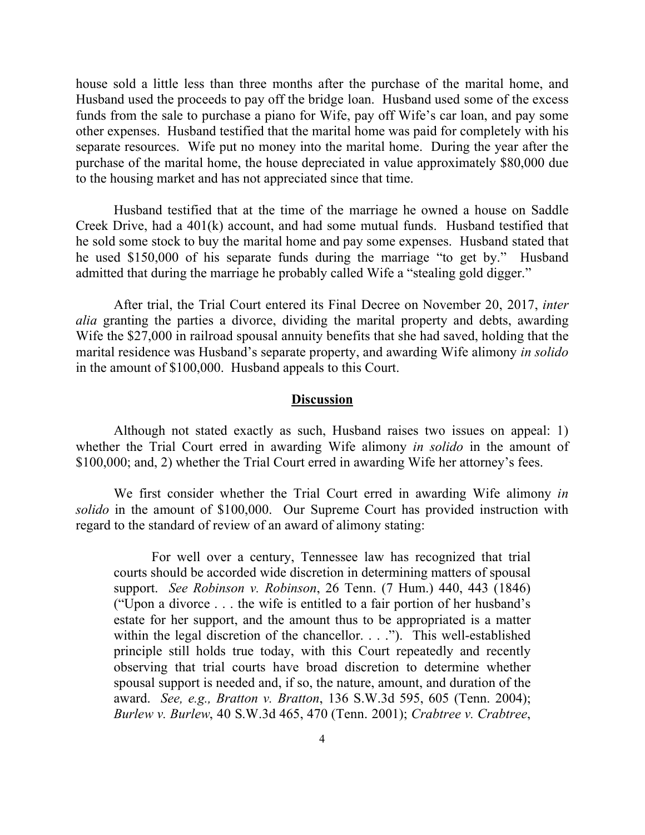house sold a little less than three months after the purchase of the marital home, and Husband used the proceeds to pay off the bridge loan. Husband used some of the excess funds from the sale to purchase a piano for Wife, pay off Wife's car loan, and pay some other expenses. Husband testified that the marital home was paid for completely with his separate resources. Wife put no money into the marital home. During the year after the purchase of the marital home, the house depreciated in value approximately \$80,000 due to the housing market and has not appreciated since that time.

Husband testified that at the time of the marriage he owned a house on Saddle Creek Drive, had a 401(k) account, and had some mutual funds. Husband testified that he sold some stock to buy the marital home and pay some expenses. Husband stated that he used \$150,000 of his separate funds during the marriage "to get by." Husband admitted that during the marriage he probably called Wife a "stealing gold digger."

After trial, the Trial Court entered its Final Decree on November 20, 2017, *inter alia* granting the parties a divorce, dividing the marital property and debts, awarding Wife the \$27,000 in railroad spousal annuity benefits that she had saved, holding that the marital residence was Husband's separate property, and awarding Wife alimony *in solido* in the amount of \$100,000. Husband appeals to this Court.

#### **Discussion**

Although not stated exactly as such, Husband raises two issues on appeal: 1) whether the Trial Court erred in awarding Wife alimony *in solido* in the amount of \$100,000; and, 2) whether the Trial Court erred in awarding Wife her attorney's fees.

We first consider whether the Trial Court erred in awarding Wife alimony *in solido* in the amount of \$100,000. Our Supreme Court has provided instruction with regard to the standard of review of an award of alimony stating:

For well over a century, Tennessee law has recognized that trial courts should be accorded wide discretion in determining matters of spousal support. *See Robinson v. Robinson*, 26 Tenn. (7 Hum.) 440, 443 (1846) ("Upon a divorce . . . the wife is entitled to a fair portion of her husband's estate for her support, and the amount thus to be appropriated is a matter within the legal discretion of the chancellor. . . ."). This well-established principle still holds true today, with this Court repeatedly and recently observing that trial courts have broad discretion to determine whether spousal support is needed and, if so, the nature, amount, and duration of the award. *See, e.g., Bratton v. Bratton*, 136 S.W.3d 595, 605 (Tenn. 2004); *Burlew v. Burlew*, 40 S.W.3d 465, 470 (Tenn. 2001); *Crabtree v. Crabtree*,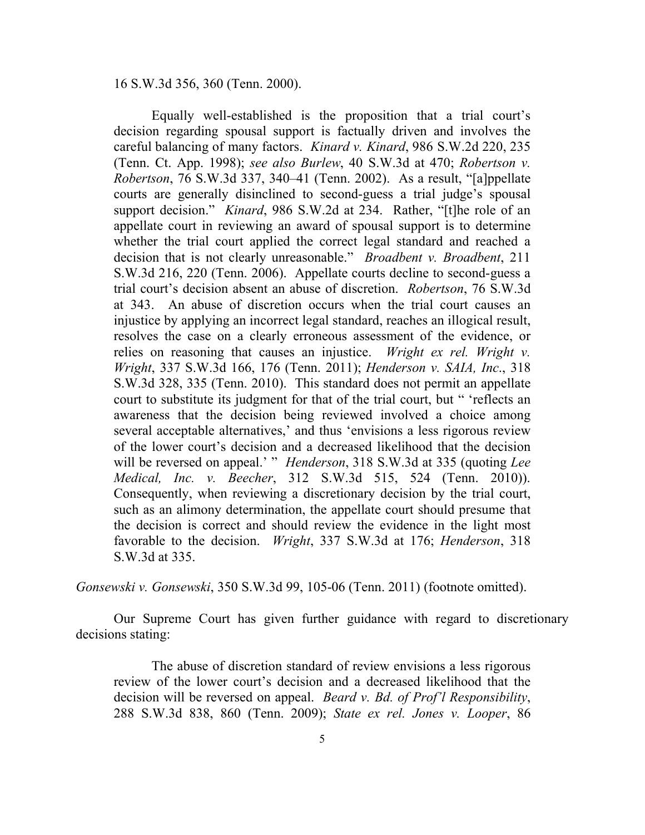16 S.W.3d 356, 360 (Tenn. 2000).

Equally well-established is the proposition that a trial court's decision regarding spousal support is factually driven and involves the careful balancing of many factors. *Kinard v. Kinard*, 986 S.W.2d 220, 235 (Tenn. Ct. App. 1998); *see also Burlew*, 40 S.W.3d at 470; *Robertson v. Robertson*, 76 S.W.3d 337, 340–41 (Tenn. 2002). As a result, "[a]ppellate courts are generally disinclined to second-guess a trial judge's spousal support decision." *Kinard*, 986 S.W.2d at 234. Rather, "[t]he role of an appellate court in reviewing an award of spousal support is to determine whether the trial court applied the correct legal standard and reached a decision that is not clearly unreasonable." *Broadbent v. Broadbent*, 211 S.W.3d 216, 220 (Tenn. 2006). Appellate courts decline to second-guess a trial court's decision absent an abuse of discretion. *Robertson*, 76 S.W.3d at 343. An abuse of discretion occurs when the trial court causes an injustice by applying an incorrect legal standard, reaches an illogical result, resolves the case on a clearly erroneous assessment of the evidence, or relies on reasoning that causes an injustice. *Wright ex rel. Wright v. Wright*, 337 S.W.3d 166, 176 (Tenn. 2011); *Henderson v. SAIA, Inc*., 318 S.W.3d 328, 335 (Tenn. 2010). This standard does not permit an appellate court to substitute its judgment for that of the trial court, but " 'reflects an awareness that the decision being reviewed involved a choice among several acceptable alternatives,' and thus 'envisions a less rigorous review of the lower court's decision and a decreased likelihood that the decision will be reversed on appeal.' " *Henderson*, 318 S.W.3d at 335 (quoting *Lee Medical, Inc. v. Beecher*, 312 S.W.3d 515, 524 (Tenn. 2010)). Consequently, when reviewing a discretionary decision by the trial court, such as an alimony determination, the appellate court should presume that the decision is correct and should review the evidence in the light most favorable to the decision. *Wright*, 337 S.W.3d at 176; *Henderson*, 318 S.W.3d at 335.

*Gonsewski v. Gonsewski*, 350 S.W.3d 99, 105-06 (Tenn. 2011) (footnote omitted).

Our Supreme Court has given further guidance with regard to discretionary decisions stating:

The abuse of discretion standard of review envisions a less rigorous review of the lower court's decision and a decreased likelihood that the decision will be reversed on appeal. *Beard v. Bd. of Prof'l Responsibility*, 288 S.W.3d 838, 860 (Tenn. 2009); *State ex rel. Jones v. Looper*, 86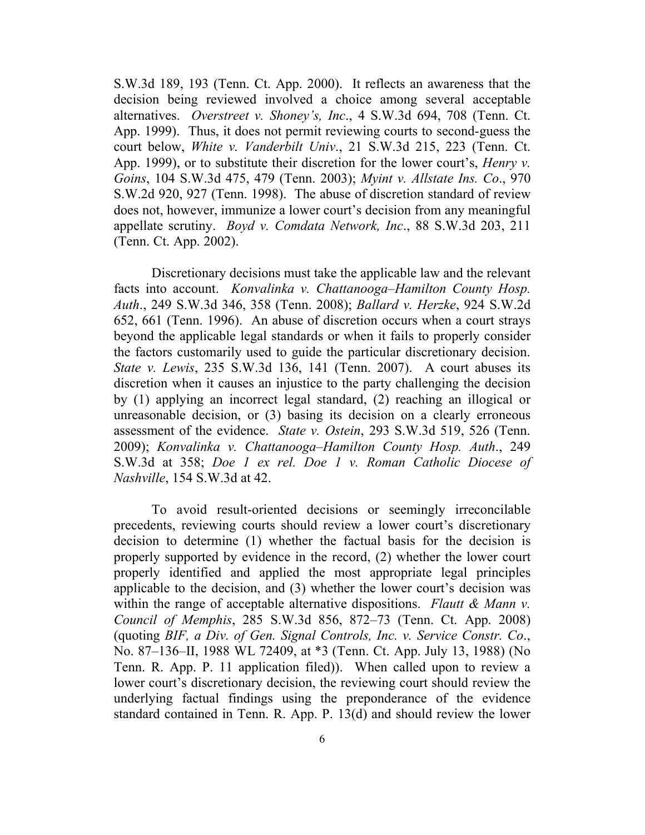S.W.3d 189, 193 (Tenn. Ct. App. 2000). It reflects an awareness that the decision being reviewed involved a choice among several acceptable alternatives. *Overstreet v. Shoney's, Inc*., 4 S.W.3d 694, 708 (Tenn. Ct. App. 1999). Thus, it does not permit reviewing courts to second-guess the court below, *White v. Vanderbilt Univ*., 21 S.W.3d 215, 223 (Tenn. Ct. App. 1999), or to substitute their discretion for the lower court's, *Henry v. Goins*, 104 S.W.3d 475, 479 (Tenn. 2003); *Myint v. Allstate Ins. Co*., 970 S.W.2d 920, 927 (Tenn. 1998). The abuse of discretion standard of review does not, however, immunize a lower court's decision from any meaningful appellate scrutiny. *Boyd v. Comdata Network, Inc*., 88 S.W.3d 203, 211 (Tenn. Ct. App. 2002).

Discretionary decisions must take the applicable law and the relevant facts into account. *Konvalinka v. Chattanooga–Hamilton County Hosp. Auth*., 249 S.W.3d 346, 358 (Tenn. 2008); *Ballard v. Herzke*, 924 S.W.2d 652, 661 (Tenn. 1996). An abuse of discretion occurs when a court strays beyond the applicable legal standards or when it fails to properly consider the factors customarily used to guide the particular discretionary decision. *State v. Lewis*, 235 S.W.3d 136, 141 (Tenn. 2007). A court abuses its discretion when it causes an injustice to the party challenging the decision by (1) applying an incorrect legal standard, (2) reaching an illogical or unreasonable decision, or (3) basing its decision on a clearly erroneous assessment of the evidence. *State v. Ostein*, 293 S.W.3d 519, 526 (Tenn. 2009); *Konvalinka v. Chattanooga–Hamilton County Hosp. Auth*., 249 S.W.3d at 358; *Doe 1 ex rel. Doe 1 v. Roman Catholic Diocese of Nashville*, 154 S.W.3d at 42.

To avoid result-oriented decisions or seemingly irreconcilable precedents, reviewing courts should review a lower court's discretionary decision to determine (1) whether the factual basis for the decision is properly supported by evidence in the record, (2) whether the lower court properly identified and applied the most appropriate legal principles applicable to the decision, and (3) whether the lower court's decision was within the range of acceptable alternative dispositions. *Flautt & Mann v. Council of Memphis*, 285 S.W.3d 856, 872–73 (Tenn. Ct. App. 2008) (quoting *BIF, a Div. of Gen. Signal Controls, Inc. v. Service Constr. Co*., No. 87–136–II, 1988 WL 72409, at \*3 (Tenn. Ct. App. July 13, 1988) (No Tenn. R. App. P. 11 application filed)). When called upon to review a lower court's discretionary decision, the reviewing court should review the underlying factual findings using the preponderance of the evidence standard contained in Tenn. R. App. P. 13(d) and should review the lower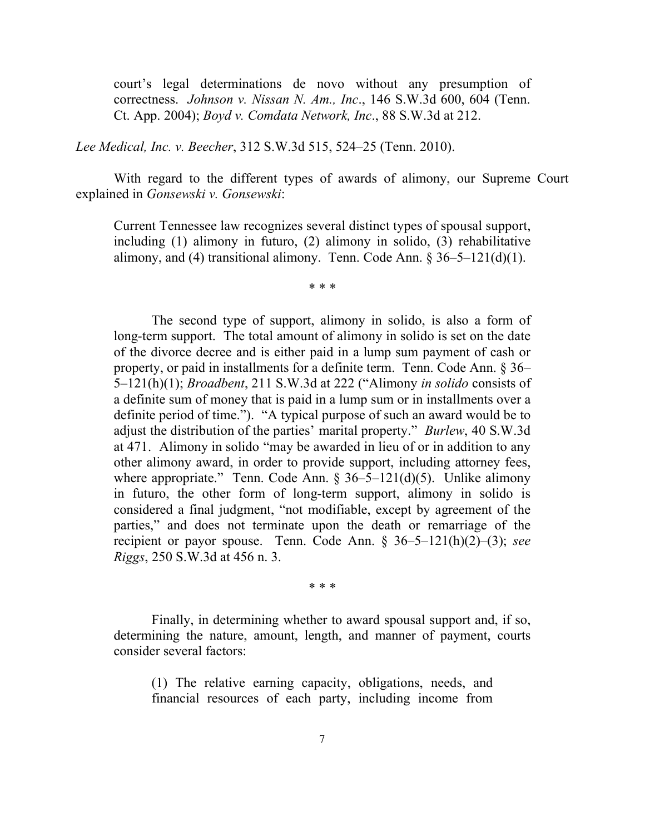court's legal determinations de novo without any presumption of correctness. *Johnson v. Nissan N. Am., Inc*., 146 S.W.3d 600, 604 (Tenn. Ct. App. 2004); *Boyd v. Comdata Network, Inc*., 88 S.W.3d at 212.

*Lee Medical, Inc. v. Beecher*, 312 S.W.3d 515, 524–25 (Tenn. 2010).

With regard to the different types of awards of alimony, our Supreme Court explained in *Gonsewski v. Gonsewski*:

Current Tennessee law recognizes several distinct types of spousal support, including (1) alimony in futuro, (2) alimony in solido, (3) rehabilitative alimony, and (4) transitional alimony. Tenn. Code Ann.  $\S 36-5-121(d)(1)$ .

\* \* \*

The second type of support, alimony in solido, is also a form of long-term support. The total amount of alimony in solido is set on the date of the divorce decree and is either paid in a lump sum payment of cash or property, or paid in installments for a definite term. Tenn. Code Ann. § 36– 5–121(h)(1); *Broadbent*, 211 S.W.3d at 222 ("Alimony *in solido* consists of a definite sum of money that is paid in a lump sum or in installments over a definite period of time."). "A typical purpose of such an award would be to adjust the distribution of the parties' marital property." *Burlew*, 40 S.W.3d at 471. Alimony in solido "may be awarded in lieu of or in addition to any other alimony award, in order to provide support, including attorney fees, where appropriate." Tenn. Code Ann.  $\S 36-5-121(d)(5)$ . Unlike alimony in futuro, the other form of long-term support, alimony in solido is considered a final judgment, "not modifiable, except by agreement of the parties," and does not terminate upon the death or remarriage of the recipient or payor spouse. Tenn. Code Ann. § 36–5–121(h)(2)–(3); *see Riggs*, 250 S.W.3d at 456 n. 3.

\* \* \*

Finally, in determining whether to award spousal support and, if so, determining the nature, amount, length, and manner of payment, courts consider several factors:

(1) The relative earning capacity, obligations, needs, and financial resources of each party, including income from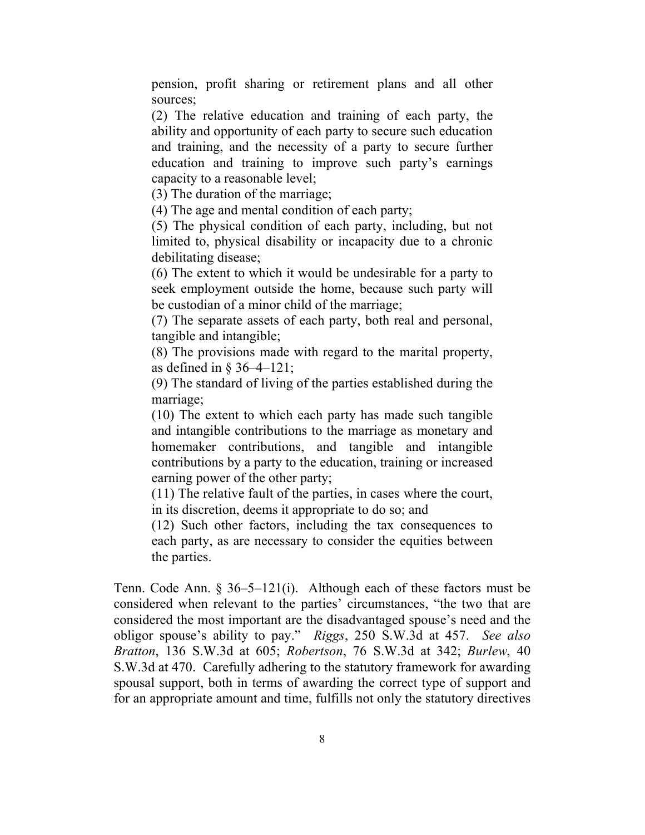pension, profit sharing or retirement plans and all other sources;

(2) The relative education and training of each party, the ability and opportunity of each party to secure such education and training, and the necessity of a party to secure further education and training to improve such party's earnings capacity to a reasonable level;

(3) The duration of the marriage;

(4) The age and mental condition of each party;

(5) The physical condition of each party, including, but not limited to, physical disability or incapacity due to a chronic debilitating disease;

(6) The extent to which it would be undesirable for a party to seek employment outside the home, because such party will be custodian of a minor child of the marriage;

(7) The separate assets of each party, both real and personal, tangible and intangible;

(8) The provisions made with regard to the marital property, as defined in § 36–4–121;

(9) The standard of living of the parties established during the marriage;

(10) The extent to which each party has made such tangible and intangible contributions to the marriage as monetary and homemaker contributions, and tangible and intangible contributions by a party to the education, training or increased earning power of the other party;

(11) The relative fault of the parties, in cases where the court, in its discretion, deems it appropriate to do so; and

(12) Such other factors, including the tax consequences to each party, as are necessary to consider the equities between the parties.

Tenn. Code Ann. § 36–5–121(i). Although each of these factors must be considered when relevant to the parties' circumstances, "the two that are considered the most important are the disadvantaged spouse's need and the obligor spouse's ability to pay." *Riggs*, 250 S.W.3d at 457. *See also Bratton*, 136 S.W.3d at 605; *Robertson*, 76 S.W.3d at 342; *Burlew*, 40 S.W.3d at 470. Carefully adhering to the statutory framework for awarding spousal support, both in terms of awarding the correct type of support and for an appropriate amount and time, fulfills not only the statutory directives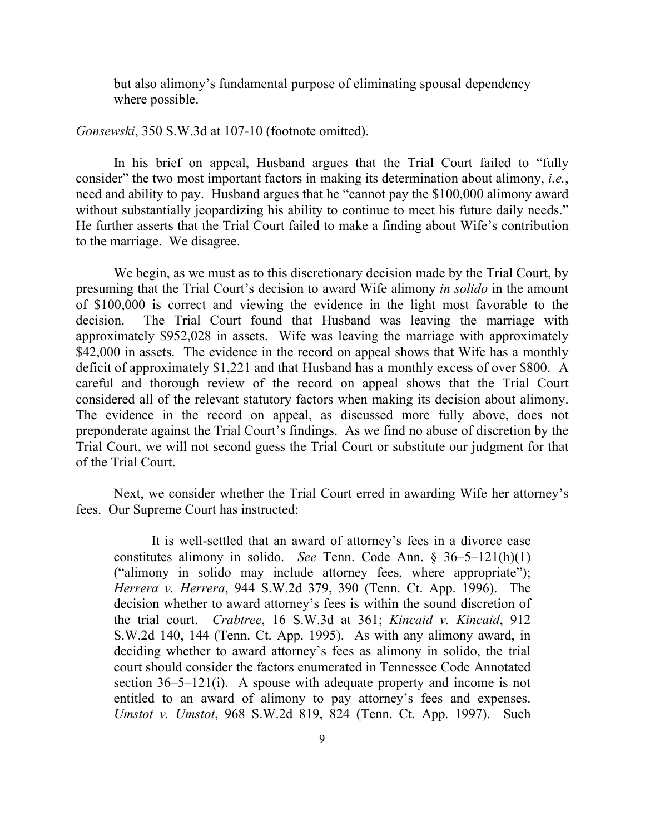but also alimony's fundamental purpose of eliminating spousal dependency where possible.

*Gonsewski*, 350 S.W.3d at 107-10 (footnote omitted).

In his brief on appeal, Husband argues that the Trial Court failed to "fully consider" the two most important factors in making its determination about alimony, *i.e.*, need and ability to pay. Husband argues that he "cannot pay the \$100,000 alimony award without substantially jeopardizing his ability to continue to meet his future daily needs." He further asserts that the Trial Court failed to make a finding about Wife's contribution to the marriage. We disagree.

We begin, as we must as to this discretionary decision made by the Trial Court, by presuming that the Trial Court's decision to award Wife alimony *in solido* in the amount of \$100,000 is correct and viewing the evidence in the light most favorable to the decision. The Trial Court found that Husband was leaving the marriage with approximately \$952,028 in assets. Wife was leaving the marriage with approximately \$42,000 in assets. The evidence in the record on appeal shows that Wife has a monthly deficit of approximately \$1,221 and that Husband has a monthly excess of over \$800. A careful and thorough review of the record on appeal shows that the Trial Court considered all of the relevant statutory factors when making its decision about alimony. The evidence in the record on appeal, as discussed more fully above, does not preponderate against the Trial Court's findings. As we find no abuse of discretion by the Trial Court, we will not second guess the Trial Court or substitute our judgment for that of the Trial Court.

Next, we consider whether the Trial Court erred in awarding Wife her attorney's fees. Our Supreme Court has instructed:

It is well-settled that an award of attorney's fees in a divorce case constitutes alimony in solido. *See* Tenn. Code Ann. § 36–5–121(h)(1) ("alimony in solido may include attorney fees, where appropriate"); *Herrera v. Herrera*, 944 S.W.2d 379, 390 (Tenn. Ct. App. 1996). The decision whether to award attorney's fees is within the sound discretion of the trial court. *Crabtree*, 16 S.W.3d at 361; *Kincaid v. Kincaid*, 912 S.W.2d 140, 144 (Tenn. Ct. App. 1995). As with any alimony award, in deciding whether to award attorney's fees as alimony in solido, the trial court should consider the factors enumerated in Tennessee Code Annotated section 36–5–121(i). A spouse with adequate property and income is not entitled to an award of alimony to pay attorney's fees and expenses. *Umstot v. Umstot*, 968 S.W.2d 819, 824 (Tenn. Ct. App. 1997). Such